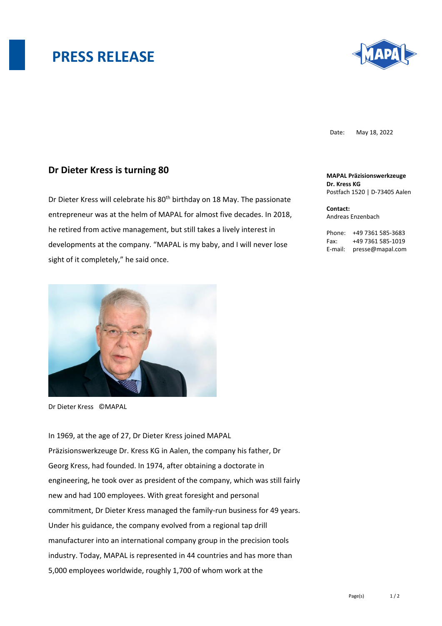## **PRESS RELEASE**



Date: May 18, 2022

## **Dr Dieter Kress is turning 80**

Dr Dieter Kress will celebrate his 80<sup>th</sup> birthday on 18 May. The passionate entrepreneur was at the helm of MAPAL for almost five decades. In 2018, he retired from active management, but still takes a lively interest in developments at the company. "MAPAL is my baby, and I will never lose sight of it completely," he said once.



Dr Dieter Kress ©MAPAL

In 1969, at the age of 27, Dr Dieter Kress joined MAPAL Präzisionswerkzeuge Dr. Kress KG in Aalen, the company his father, Dr Georg Kress, had founded. In 1974, after obtaining a doctorate in engineering, he took over as president of the company, which was still fairly new and had 100 employees. With great foresight and personal commitment, Dr Dieter Kress managed the family-run business for 49 years. Under his guidance, the company evolved from a regional tap drill manufacturer into an international company group in the precision tools industry. Today, MAPAL is represented in 44 countries and has more than 5,000 employees worldwide, roughly 1,700 of whom work at the

**MAPAL Präzisionswerkzeuge Dr. Kress KG** Postfach 1520 | D-73405 Aalen

**Contact:**  Andreas Enzenbach

Phone: +49 7361 585-3683 Fax: +49 7361 585-1019 E-mail: presse@mapal.com